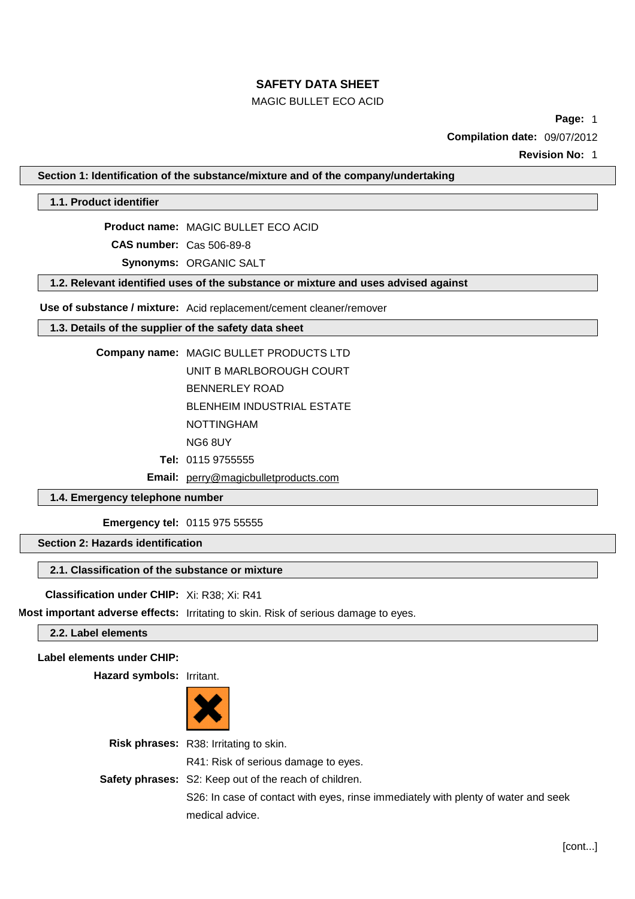# MAGIC BULLET ECO ACID

**Page:** 1

**Compilation date:** 09/07/2012

**Revision No:** 1

**Section 1: Identification of the substance/mixture and of the company/undertaking**

**1.1. Product identifier**

**Product name:** MAGIC BULLET ECO ACID **CAS number:** Cas 506-89-8 **Synonyms:** ORGANIC SALT

**1.2. Relevant identified uses of the substance or mixture and uses advised against**

**Use of substance / mixture:** Acid replacement/cement cleaner/remover

# **1.3. Details of the supplier of the safety data sheet**

**Company name:** MAGIC BULLET PRODUCTS LTD UNIT B MARLBOROUGH COURT BENNERLEY ROAD BLENHEIM INDUSTRIAL ESTATE NOTTINGHAM NG6 8UY

- **Tel:** 0115 9755555
- **Email:** [perry@magicbulletproducts.com](mailto:perry@magicbulletproducts.com)

## **1.4. Emergency telephone number**

**Emergency tel:** 0115 975 55555

**Section 2: Hazards identification**

## **2.1. Classification of the substance or mixture**

**Classification under CHIP:** Xi: R38; Xi: R41

**Most important adverse effects:** Irritating to skin. Risk of serious damage to eyes.

**2.2. Label elements**

**Label elements under CHIP:**

**Hazard symbols:** Irritant.



| <b>Risk phrases:</b> R38: Irritating to skin.                                      |
|------------------------------------------------------------------------------------|
| R41: Risk of serious damage to eyes.                                               |
| Safety phrases: S2: Keep out of the reach of children.                             |
| S26: In case of contact with eyes, rinse immediately with plenty of water and seek |
| medical advice.                                                                    |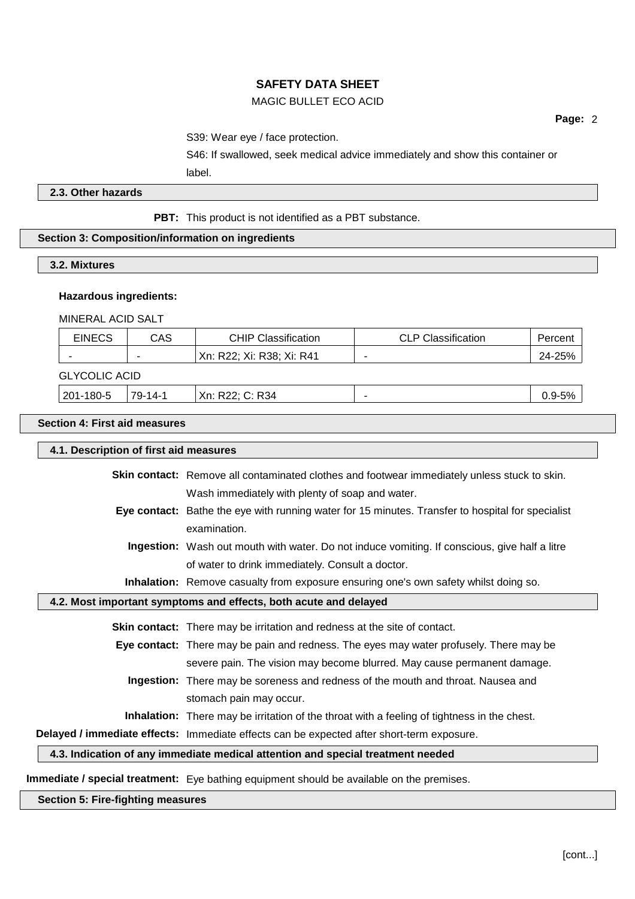## MAGIC BULLET ECO ACID

S39: Wear eye / face protection.

S46: If swallowed, seek medical advice immediately and show this container or label.

### **2.3. Other hazards**

**PBT:** This product is not identified as a PBT substance.

## **Section 3: Composition/information on ingredients**

# **3.2. Mixtures**

#### **Hazardous ingredients:**

MINERAL ACID SALT

| <b>EINECS</b>        | CAS     | <b>CHIP Classification</b> | <b>CLP Classification</b> | Percent    |
|----------------------|---------|----------------------------|---------------------------|------------|
|                      | -       | Xn: R22; Xi: R38; Xi: R41  |                           | 24-25%     |
| <b>GLYCOLIC ACID</b> |         |                            |                           |            |
| 201-180-5            | 79-14-1 | Xn: R22: C: R34            |                           | $0.9 - 5%$ |

#### **Section 4: First aid measures**

| 4.1. Description of first aid measures |                                                                                                      |  |
|----------------------------------------|------------------------------------------------------------------------------------------------------|--|
|                                        | <b>Skin contact:</b> Remove all contaminated clothes and footwear immediately unless stuck to skin.  |  |
|                                        | Wash immediately with plenty of soap and water.                                                      |  |
|                                        | Eye contact: Bathe the eye with running water for 15 minutes. Transfer to hospital for specialist    |  |
|                                        | examination.                                                                                         |  |
|                                        | <b>Ingestion:</b> Wash out mouth with water. Do not induce vomiting. If conscious, give half a litre |  |
|                                        | of water to drink immediately. Consult a doctor.                                                     |  |
|                                        | Inhalation: Remove casualty from exposure ensuring one's own safety whilst doing so.                 |  |
|                                        | 4.2. Most important symptoms and effects, both acute and delayed                                     |  |
|                                        | <b>Skin contact:</b> There may be irritation and redness at the site of contact.                     |  |
|                                        | Eye contact: There may be pain and redness. The eyes may water profusely. There may be               |  |
|                                        | severe pain. The vision may become blurred. May cause permanent damage.                              |  |
|                                        | Ingestion: There may be soreness and redness of the mouth and throat. Nausea and                     |  |
|                                        | stomach pain may occur.                                                                              |  |
|                                        | <b>Inhalation:</b> There may be irritation of the throat with a feeling of tightness in the chest.   |  |
|                                        | Delayed / immediate effects: Immediate effects can be expected after short-term exposure.            |  |
|                                        | 4.3. Indication of any immediate medical attention and special treatment needed                      |  |
|                                        | Immediate / special treatment: Eye bathing equipment should be available on the premises.            |  |

## **Section 5: Fire-fighting measures**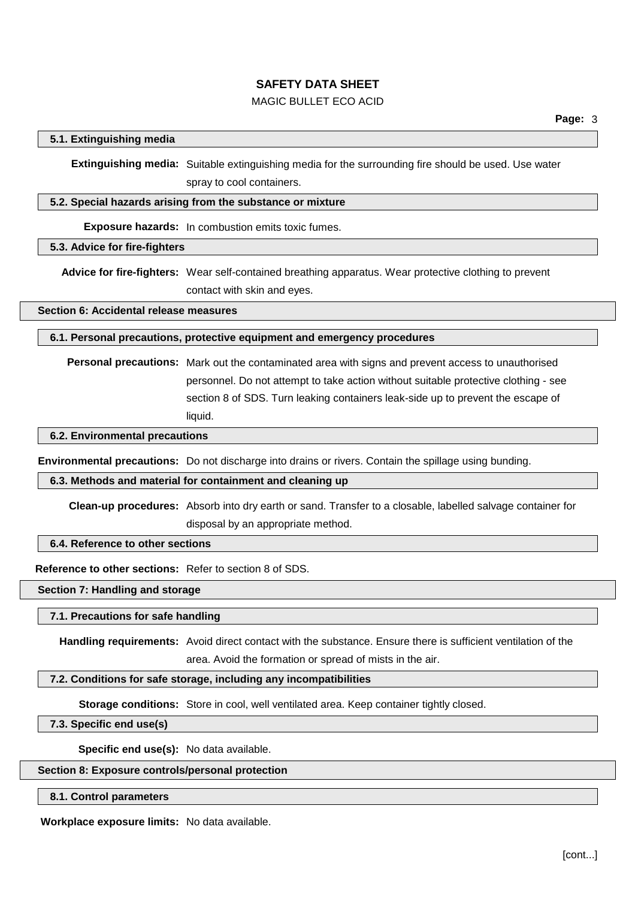# MAGIC BULLET ECO ACID

## **5.1. Extinguishing media**

**Extinguishing media:** Suitable extinguishing media for the surrounding fire should be used. Use water spray to cool containers.

## **5.2. Special hazards arising from the substance or mixture**

**Exposure hazards:** In combustion emits toxic fumes.

### **5.3. Advice for fire-fighters**

**Advice for fire-fighters:** Wear self-contained breathing apparatus. Wear protective clothing to prevent contact with skin and eyes.

**Section 6: Accidental release measures**

**6.1. Personal precautions, protective equipment and emergency procedures**

**Personal precautions:** Mark out the contaminated area with signs and prevent access to unauthorised personnel. Do not attempt to take action without suitable protective clothing - see section 8 of SDS. Turn leaking containers leak-side up to prevent the escape of liquid.

**6.2. Environmental precautions**

**Environmental precautions:** Do not discharge into drains or rivers. Contain the spillage using bunding.

#### **6.3. Methods and material for containment and cleaning up**

**Clean-up procedures:** Absorb into dry earth or sand. Transfer to a closable, labelled salvage container for disposal by an appropriate method.

# **6.4. Reference to other sections**

**Reference to other sections:** Refer to section 8 of SDS.

## **Section 7: Handling and storage**

#### **7.1. Precautions for safe handling**

**Handling requirements:** Avoid direct contact with the substance. Ensure there is sufficient ventilation of the area. Avoid the formation or spread of mists in the air.

#### **7.2. Conditions for safe storage, including any incompatibilities**

**Storage conditions:** Store in cool, well ventilated area. Keep container tightly closed.

#### **7.3. Specific end use(s)**

**Specific end use(s):** No data available.

#### **Section 8: Exposure controls/personal protection**

#### **8.1. Control parameters**

**Workplace exposure limits:** No data available.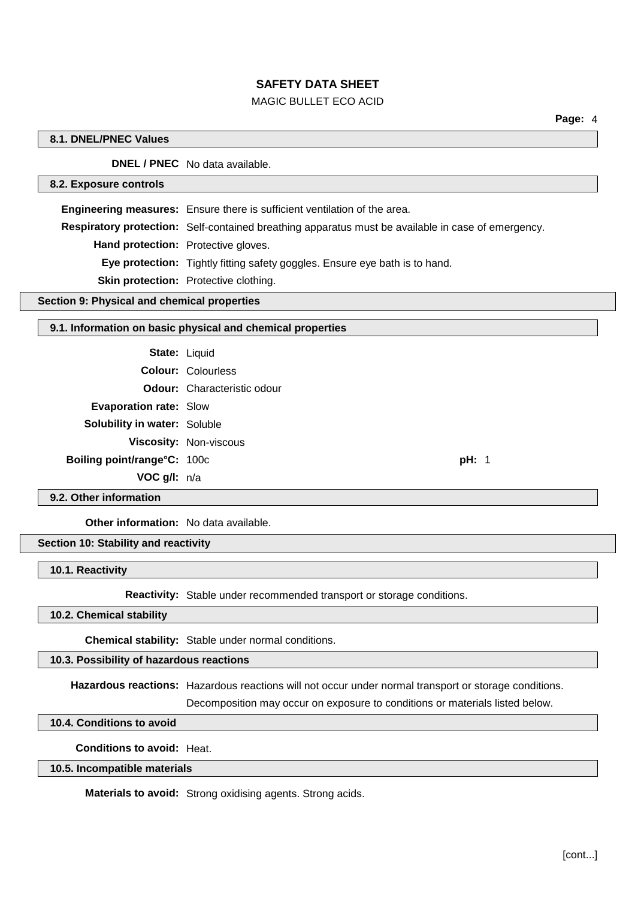## MAGIC BULLET ECO ACID

## **8.1. DNEL/PNEC Values**

**DNEL / PNEC** No data available.

## **8.2. Exposure controls**

**Engineering measures:** Ensure there is sufficient ventilation of the area. **Respiratory protection:** Self-contained breathing apparatus must be available in case of emergency. **Hand protection:** Protective gloves. **Eye protection:** Tightly fitting safety goggles. Ensure eye bath is to hand. **Skin protection:** Protective clothing.

#### **Section 9: Physical and chemical properties**

## **9.1. Information on basic physical and chemical properties**

| <b>State: Liquid</b>                |                                    |       |
|-------------------------------------|------------------------------------|-------|
|                                     | <b>Colour: Colourless</b>          |       |
|                                     | <b>Odour:</b> Characteristic odour |       |
| <b>Evaporation rate: Slow</b>       |                                    |       |
| <b>Solubility in water: Soluble</b> |                                    |       |
|                                     | Viscosity: Non-viscous             |       |
| Boiling point/range°C: 100c         |                                    | pH: 1 |
| <b>VOC g/l:</b> $n/a$               |                                    |       |
|                                     |                                    |       |

**9.2. Other information**

**Other information:** No data available.

# **Section 10: Stability and reactivity**

**10.1. Reactivity**

**Reactivity:** Stable under recommended transport or storage conditions.

#### **10.2. Chemical stability**

**Chemical stability:** Stable under normal conditions.

# **10.3. Possibility of hazardous reactions**

**Hazardous reactions:** Hazardous reactions will not occur under normal transport or storage conditions.

Decomposition may occur on exposure to conditions or materials listed below.

## **10.4. Conditions to avoid**

**Conditions to avoid:** Heat.

### **10.5. Incompatible materials**

**Materials to avoid:** Strong oxidising agents. Strong acids.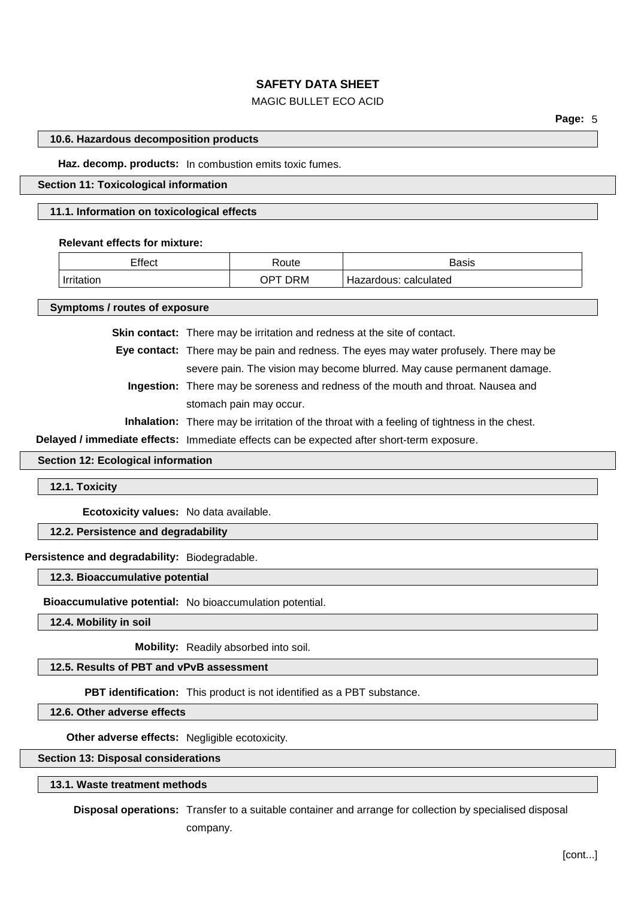# MAGIC BULLET ECO ACID

#### **10.6. Hazardous decomposition products**

**Haz. decomp. products:** In combustion emits toxic fumes.

#### **Section 11: Toxicological information**

#### **11.1. Information on toxicological effects**

#### **Relevant effects for mixture:**

| Effect     | ≺oute            | Basis                    |
|------------|------------------|--------------------------|
| Irritation | <b>DRM</b><br>ОP | calculated<br>Hazardous: |

**Symptoms / routes of exposure**

**Skin contact:** There may be irritation and redness at the site of contact.

**Eye contact:** There may be pain and redness. The eyes may water profusely. There may be severe pain. The vision may become blurred. May cause permanent damage.

**Ingestion:** There may be soreness and redness of the mouth and throat. Nausea and stomach pain may occur.

**Inhalation:** There may be irritation of the throat with a feeling of tightness in the chest.

**Delayed / immediate effects:** Immediate effects can be expected after short-term exposure.

#### **Section 12: Ecological information**

**12.1. Toxicity**

**Ecotoxicity values:** No data available.

## **12.2. Persistence and degradability**

**Persistence and degradability:** Biodegradable.

**12.3. Bioaccumulative potential**

**Bioaccumulative potential:** No bioaccumulation potential.

**12.4. Mobility in soil**

**Mobility:** Readily absorbed into soil.

**12.5. Results of PBT and vPvB assessment**

**PBT identification:** This product is not identified as a PBT substance.

**12.6. Other adverse effects**

**Other adverse effects:** Negligible ecotoxicity.

**Section 13: Disposal considerations**

**13.1. Waste treatment methods**

**Disposal operations:** Transfer to a suitable container and arrange for collection by specialised disposal company.